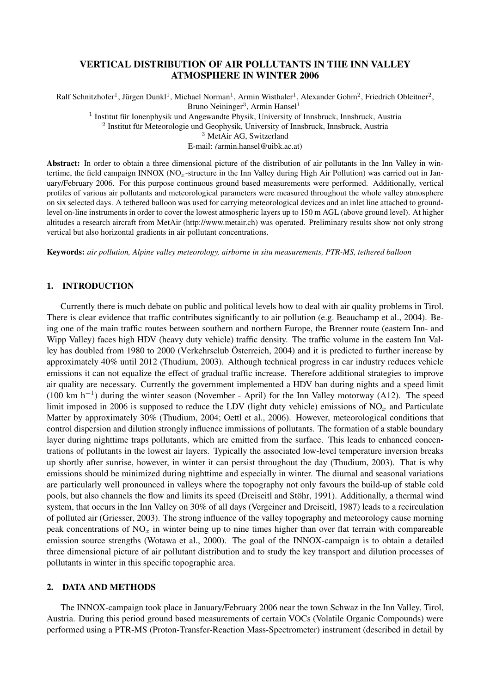# VERTICAL DISTRIBUTION OF AIR POLLUTANTS IN THE INN VALLEY ATMOSPHERE IN WINTER 2006

Ralf Schnitzhofer<sup>1</sup>, Jürgen Dunkl<sup>1</sup>, Michael Norman<sup>1</sup>, Armin Wisthaler<sup>1</sup>, Alexander Gohm<sup>2</sup>, Friedrich Obleitner<sup>2</sup>, Bruno Neininger<sup>3</sup>, Armin Hansel<sup>1</sup>

<sup>1</sup> Institut für Ionenphysik und Angewandte Physik, University of Innsbruck, Innsbruck, Austria

2 Institut für Meteorologie und Geophysik, University of Innsbruck, Innsbruck, Austria

<sup>3</sup> MetAir AG, Switzerland

E-mail: *(*armin.hansel@uibk.ac.at)

Abstract: In order to obtain a three dimensional picture of the distribution of air pollutants in the Inn Valley in wintertime, the field campaign INNOX ( $NO<sub>x</sub>$ -structure in the Inn Valley during High Air Pollution) was carried out in January/February 2006. For this purpose continuous ground based measurements were performed. Additionally, vertical profiles of various air pollutants and meteorological parameters were measured throughout the whole valley atmosphere on six selected days. A tethered balloon was used for carrying meteorological devices and an inlet line attached to groundlevel on-line instruments in order to cover the lowest atmospheric layers up to 150 m AGL (above ground level). At higher altitudes a research aircraft from MetAir (http://www.metair.ch) was operated. Preliminary results show not only strong vertical but also horizontal gradients in air pollutant concentrations.

Keywords: *air pollution, Alpine valley meteorology, airborne in situ measurements, PTR-MS, tethered balloon*

## 1. INTRODUCTION

Currently there is much debate on public and political levels how to deal with air quality problems in Tirol. There is clear evidence that traffic contributes significantly to air pollution (e.g. Beauchamp et al., 2004). Being one of the main traffic routes between southern and northern Europe, the Brenner route (eastern Inn- and Wipp Valley) faces high HDV (heavy duty vehicle) traffic density. The traffic volume in the eastern Inn Valley has doubled from 1980 to 2000 (Verkehrsclub Österreich, 2004) and it is predicted to further increase by approximately 40% until 2012 (Thudium, 2003). Although technical progress in car industry reduces vehicle emissions it can not equalize the effect of gradual traffic increase. Therefore additional strategies to improve air quality are necessary. Currently the government implemented a HDV ban during nights and a speed limit  $(100 \text{ km } \text{h}^{-1})$  during the winter season (November - April) for the Inn Valley motorway (A12). The speed limit imposed in 2006 is supposed to reduce the LDV (light duty vehicle) emissions of  $NO<sub>x</sub>$  and Particulate Matter by approximately 30% (Thudium, 2004; Oettl et al., 2006). However, meteorological conditions that control dispersion and dilution strongly influence immissions of pollutants. The formation of a stable boundary layer during nighttime traps pollutants, which are emitted from the surface. This leads to enhanced concentrations of pollutants in the lowest air layers. Typically the associated low-level temperature inversion breaks up shortly after sunrise, however, in winter it can persist throughout the day (Thudium, 2003). That is why emissions should be minimized during nighttime and especially in winter. The diurnal and seasonal variations are particularly well pronounced in valleys where the topography not only favours the build-up of stable cold pools, but also channels the flow and limits its speed (Dreiseitl and Stöhr, 1991). Additionally, a thermal wind system, that occurs in the Inn Valley on 30% of all days (Vergeiner and Dreiseitl, 1987) leads to a recirculation of polluted air (Griesser, 2003). The strong influence of the valley topography and meteorology cause morning peak concentrations of  $NO<sub>x</sub>$  in winter being up to nine times higher than over flat terrain with compareable emission source strengths (Wotawa et al., 2000). The goal of the INNOX-campaign is to obtain a detailed three dimensional picture of air pollutant distribution and to study the key transport and dilution processes of pollutants in winter in this specific topographic area.

### 2. DATA AND METHODS

The INNOX-campaign took place in January/February 2006 near the town Schwaz in the Inn Valley, Tirol, Austria. During this period ground based measurements of certain VOCs (Volatile Organic Compounds) were performed using a PTR-MS (Proton-Transfer-Reaction Mass-Spectrometer) instrument (described in detail by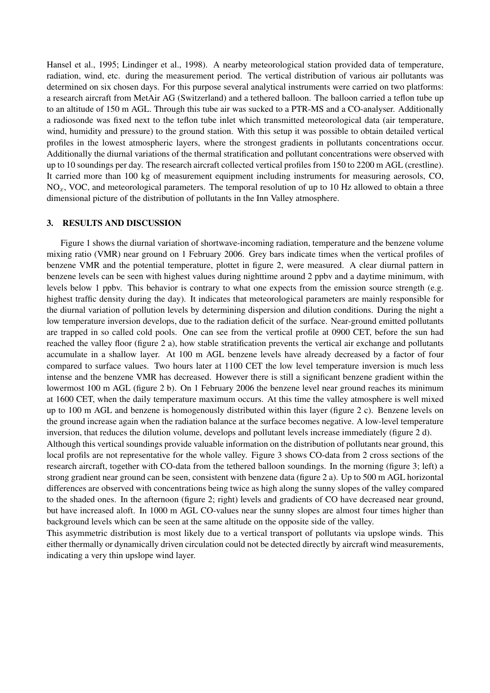Hansel et al., 1995; Lindinger et al., 1998). A nearby meteorological station provided data of temperature, radiation, wind, etc. during the measurement period. The vertical distribution of various air pollutants was determined on six chosen days. For this purpose several analytical instruments were carried on two platforms: a research aircraft from MetAir AG (Switzerland) and a tethered balloon. The balloon carried a teflon tube up to an altitude of 150 m AGL. Through this tube air was sucked to a PTR-MS and a CO-analyser. Additionally a radiosonde was fixed next to the teflon tube inlet which transmitted meteorological data (air temperature, wind, humidity and pressure) to the ground station. With this setup it was possible to obtain detailed vertical profiles in the lowest atmospheric layers, where the strongest gradients in pollutants concentrations occur. Additionally the diurnal variations of the thermal stratification and pollutant concentrations were observed with up to 10 soundings per day. The research aircraft collected vertical profiles from 150 to 2200 m AGL (crestline). It carried more than 100 kg of measurement equipment including instruments for measuring aerosols, CO,  $NO<sub>x</sub>$ , VOC, and meteorological parameters. The temporal resolution of up to 10 Hz allowed to obtain a three dimensional picture of the distribution of pollutants in the Inn Valley atmosphere.

## 3. RESULTS AND DISCUSSION

Figure 1 shows the diurnal variation of shortwave-incoming radiation, temperature and the benzene volume mixing ratio (VMR) near ground on 1 February 2006. Grey bars indicate times when the vertical profiles of benzene VMR and the potential temperature, plottet in figure 2, were measured. A clear diurnal pattern in benzene levels can be seen with highest values during nighttime around 2 ppbv and a daytime minimum, with levels below 1 ppbv. This behavior is contrary to what one expects from the emission source strength (e.g. highest traffic density during the day). It indicates that meteorological parameters are mainly responsible for the diurnal variation of pollution levels by determining dispersion and dilution conditions. During the night a low temperature inversion develops, due to the radiation deficit of the surface. Near-ground emitted pollutants are trapped in so called cold pools. One can see from the vertical profile at 0900 CET, before the sun had reached the valley floor (figure 2 a), how stable stratification prevents the vertical air exchange and pollutants accumulate in a shallow layer. At 100 m AGL benzene levels have already decreased by a factor of four compared to surface values. Two hours later at 1100 CET the low level temperature inversion is much less intense and the benzene VMR has decreased. However there is still a significant benzene gradient within the lowermost 100 m AGL (figure 2 b). On 1 February 2006 the benzene level near ground reaches its minimum at 1600 CET, when the daily temperature maximum occurs. At this time the valley atmosphere is well mixed up to 100 m AGL and benzene is homogenously distributed within this layer (figure 2 c). Benzene levels on the ground increase again when the radiation balance at the surface becomes negative. A low-level temperature inversion, that reduces the dilution volume, develops and pollutant levels increase immediately (figure 2 d).

Although this vertical soundings provide valuable information on the distribution of pollutants near ground, this local profils are not representative for the whole valley. Figure 3 shows CO-data from 2 cross sections of the research aircraft, together with CO-data from the tethered balloon soundings. In the morning (figure 3; left) a strong gradient near ground can be seen, consistent with benzene data (figure 2 a). Up to 500 m AGL horizontal differences are observed with concentrations being twice as high along the sunny slopes of the valley compared to the shaded ones. In the afternoon (figure 2; right) levels and gradients of CO have decreased near ground, but have increased aloft. In 1000 m AGL CO-values near the sunny slopes are almost four times higher than background levels which can be seen at the same altitude on the opposite side of the valley.

This asymmetric distribution is most likely due to a vertical transport of pollutants via upslope winds. This either thermally or dynamically driven circulation could not be detected directly by aircraft wind measurements, indicating a very thin upslope wind layer.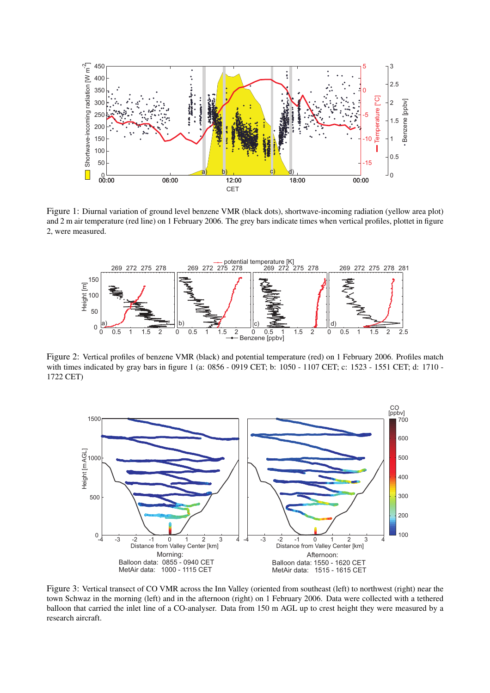

Figure 1: Diurnal variation of ground level benzene VMR (black dots), shortwave-incoming radiation (yellow area plot) and 2 m air temperature (red line) on 1 February 2006. The grey bars indicate times when vertical profiles, plottet in figure 2, were measured.



Figure 2: Vertical profiles of benzene VMR (black) and potential temperature (red) on 1 February 2006. Profiles match with times indicated by gray bars in figure 1 (a: 0856 - 0919 CET; b: 1050 - 1107 CET; c: 1523 - 1551 CET; d: 1710 - 1722 CET)



Figure 3: Vertical transect of CO VMR across the Inn Valley (oriented from southeast (left) to northwest (right) near the town Schwaz in the morning (left) and in the afternoon (right) on 1 February 2006. Data were collected with a tethered balloon that carried the inlet line of a CO-analyser. Data from 150 m AGL up to crest height they were measured by a research aircraft.